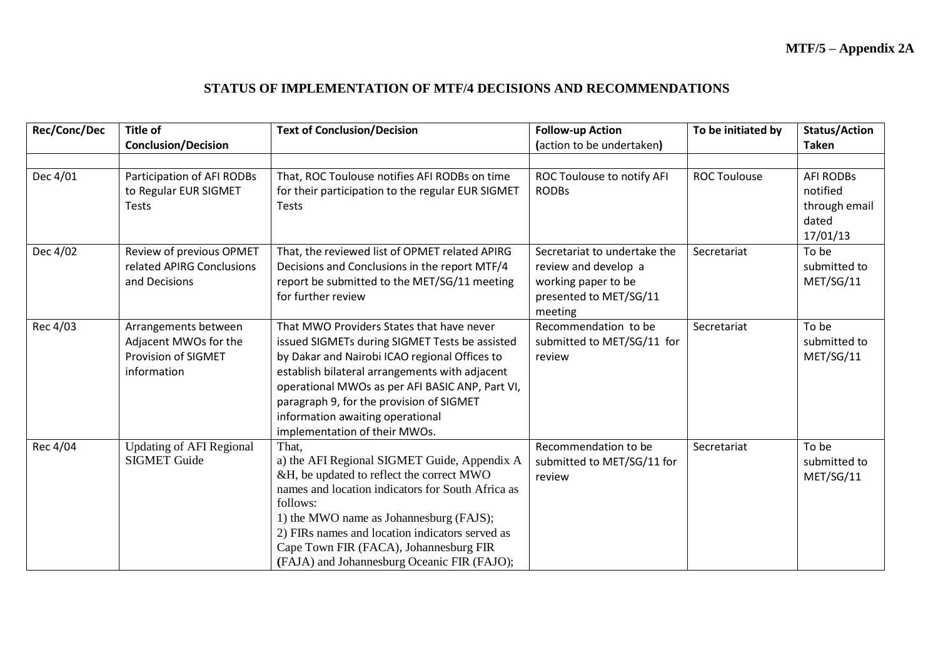## **STATUS OF IMPLEMENTATION OF MTF/4 DECISIONS AND RECOMMENDATIONS**

| Rec/Conc/Dec | Title of<br><b>Conclusion/Decision</b>                                                     | <b>Text of Conclusion/Decision</b>                                                                                                                                                                                                                                                                                                                                 | <b>Follow-up Action</b><br>(action to be undertaken)                                                             | To be initiated by  | <b>Status/Action</b><br>Taken                                      |
|--------------|--------------------------------------------------------------------------------------------|--------------------------------------------------------------------------------------------------------------------------------------------------------------------------------------------------------------------------------------------------------------------------------------------------------------------------------------------------------------------|------------------------------------------------------------------------------------------------------------------|---------------------|--------------------------------------------------------------------|
| Dec 4/01     | Participation of AFI RODBs<br>to Regular EUR SIGMET<br><b>Tests</b>                        | That, ROC Toulouse notifies AFI RODBs on time<br>for their participation to the regular EUR SIGMET<br><b>Tests</b>                                                                                                                                                                                                                                                 | ROC Toulouse to notify AFI<br><b>RODBs</b>                                                                       | <b>ROC Toulouse</b> | <b>AFI RODBs</b><br>notified<br>through email<br>dated<br>17/01/13 |
| Dec 4/02     | Review of previous OPMET<br>related APIRG Conclusions<br>and Decisions                     | That, the reviewed list of OPMET related APIRG<br>Decisions and Conclusions in the report MTF/4<br>report be submitted to the MET/SG/11 meeting<br>for further review                                                                                                                                                                                              | Secretariat to undertake the<br>review and develop a<br>working paper to be<br>presented to MET/SG/11<br>meeting | Secretariat         | To be<br>submitted to<br>MET/SG/11                                 |
| Rec 4/03     | Arrangements between<br>Adjacent MWOs for the<br><b>Provision of SIGMET</b><br>information | That MWO Providers States that have never<br>issued SIGMETs during SIGMET Tests be assisted<br>by Dakar and Nairobi ICAO regional Offices to<br>establish bilateral arrangements with adjacent<br>operational MWOs as per AFI BASIC ANP, Part VI,<br>paragraph 9, for the provision of SIGMET<br>information awaiting operational<br>implementation of their MWOs. | Recommendation to be<br>submitted to MET/SG/11 for<br>review                                                     | Secretariat         | To be<br>submitted to<br>MET/SG/11                                 |
| Rec 4/04     | <b>Updating of AFI Regional</b><br><b>SIGMET Guide</b>                                     | That.<br>a) the AFI Regional SIGMET Guide, Appendix A<br>&H, be updated to reflect the correct MWO<br>names and location indicators for South Africa as<br>follows:<br>1) the MWO name as Johannesburg (FAJS);<br>2) FIRs names and location indicators served as<br>Cape Town FIR (FACA), Johannesburg FIR<br>(FAJA) and Johannesburg Oceanic FIR (FAJO);         | Recommendation to be<br>submitted to MET/SG/11 for<br>review                                                     | Secretariat         | To be<br>submitted to<br>MET/SG/11                                 |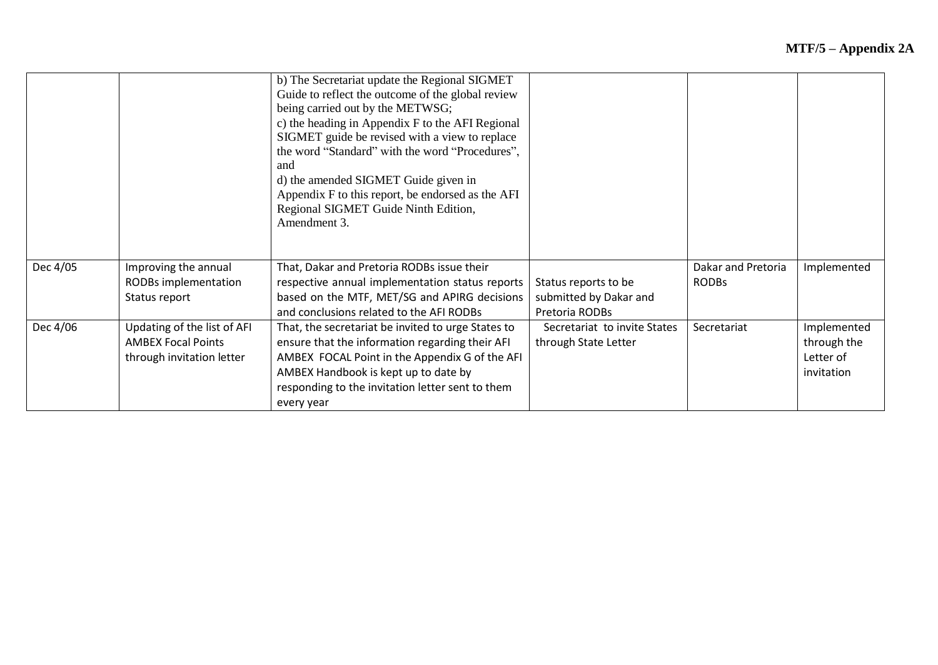|          |                                                                                       | b) The Secretariat update the Regional SIGMET<br>Guide to reflect the outcome of the global review<br>being carried out by the METWSG;<br>c) the heading in Appendix F to the AFI Regional<br>SIGMET guide be revised with a view to replace<br>the word "Standard" with the word "Procedures",<br>and<br>d) the amended SIGMET Guide given in<br>Appendix F to this report, be endorsed as the AFI<br>Regional SIGMET Guide Ninth Edition,<br>Amendment 3. |                                                                  |                                    |                                                       |
|----------|---------------------------------------------------------------------------------------|-------------------------------------------------------------------------------------------------------------------------------------------------------------------------------------------------------------------------------------------------------------------------------------------------------------------------------------------------------------------------------------------------------------------------------------------------------------|------------------------------------------------------------------|------------------------------------|-------------------------------------------------------|
| Dec 4/05 | Improving the annual<br>RODBs implementation<br>Status report                         | That, Dakar and Pretoria RODBs issue their<br>respective annual implementation status reports<br>based on the MTF, MET/SG and APIRG decisions<br>and conclusions related to the AFI RODBs                                                                                                                                                                                                                                                                   | Status reports to be<br>submitted by Dakar and<br>Pretoria RODBs | Dakar and Pretoria<br><b>RODBs</b> | Implemented                                           |
| Dec 4/06 | Updating of the list of AFI<br><b>AMBEX Focal Points</b><br>through invitation letter | That, the secretariat be invited to urge States to<br>ensure that the information regarding their AFI<br>AMBEX FOCAL Point in the Appendix G of the AFI<br>AMBEX Handbook is kept up to date by<br>responding to the invitation letter sent to them<br>every year                                                                                                                                                                                           | Secretariat to invite States<br>through State Letter             | Secretariat                        | Implemented<br>through the<br>Letter of<br>invitation |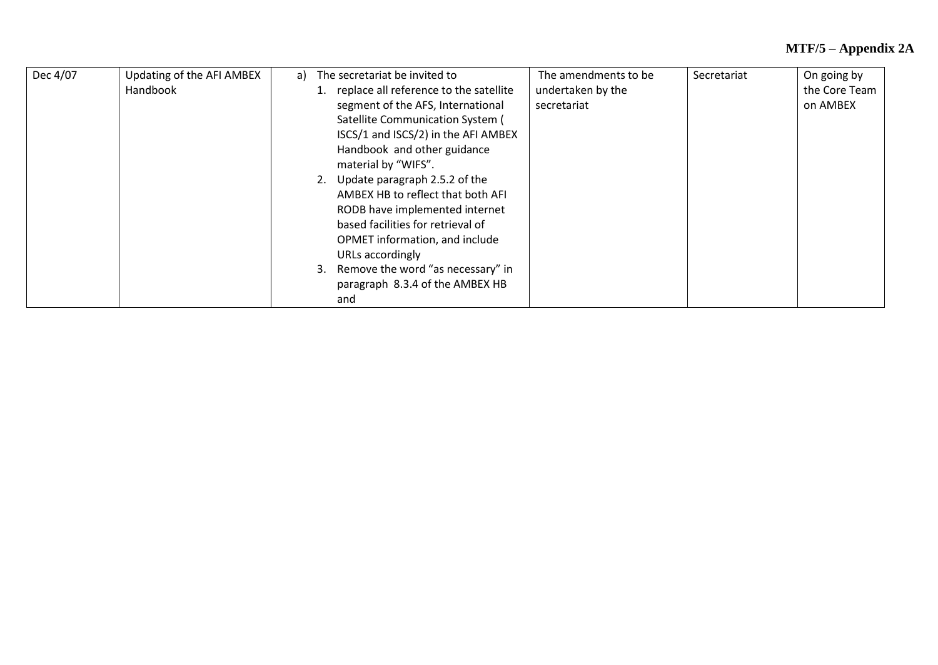## **MTF/5 – Appendix 2A**

| Dec 4/07 | Updating of the AFI AMBEX | a) | The secretariat be invited to             | The amendments to be | Secretariat | On going by   |
|----------|---------------------------|----|-------------------------------------------|----------------------|-------------|---------------|
|          | Handbook                  |    | 1. replace all reference to the satellite | undertaken by the    |             | the Core Team |
|          |                           |    | segment of the AFS, International         | secretariat          |             | on AMBEX      |
|          |                           |    | Satellite Communication System (          |                      |             |               |
|          |                           |    | ISCS/1 and ISCS/2) in the AFI AMBEX       |                      |             |               |
|          |                           |    | Handbook and other guidance               |                      |             |               |
|          |                           |    | material by "WIFS".                       |                      |             |               |
|          |                           |    | 2. Update paragraph 2.5.2 of the          |                      |             |               |
|          |                           |    | AMBEX HB to reflect that both AFI         |                      |             |               |
|          |                           |    | RODB have implemented internet            |                      |             |               |
|          |                           |    | based facilities for retrieval of         |                      |             |               |
|          |                           |    | OPMET information, and include            |                      |             |               |
|          |                           |    | URLs accordingly                          |                      |             |               |
|          |                           |    | 3. Remove the word "as necessary" in      |                      |             |               |
|          |                           |    | paragraph 8.3.4 of the AMBEX HB           |                      |             |               |
|          |                           |    | and                                       |                      |             |               |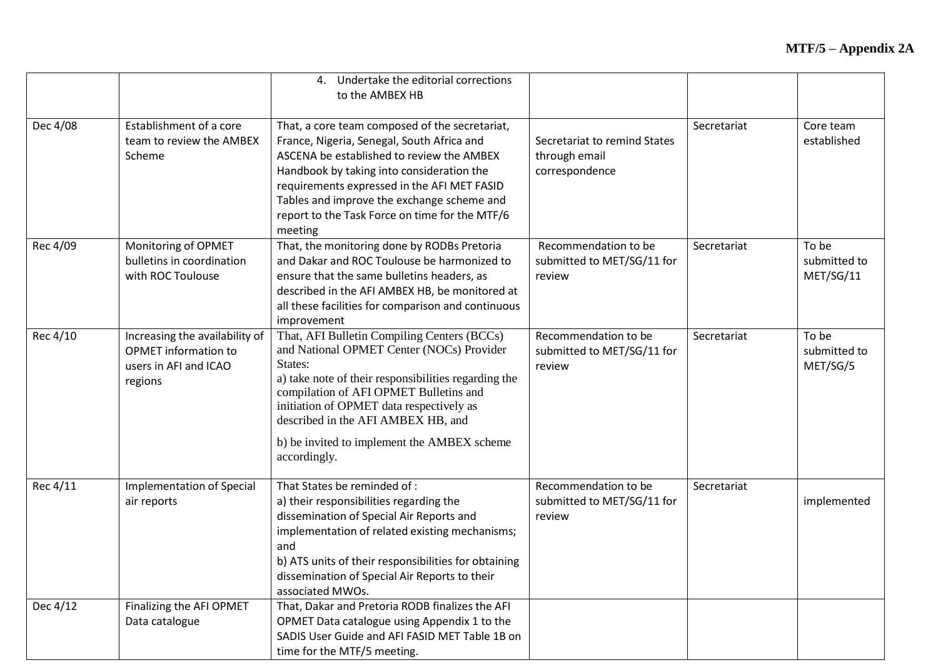|          |                                                                                                   | 4. Undertake the editorial corrections<br>to the AMBEX HB                                                                                                                                                                                                                                                                                              |                                                                 |             |                                    |
|----------|---------------------------------------------------------------------------------------------------|--------------------------------------------------------------------------------------------------------------------------------------------------------------------------------------------------------------------------------------------------------------------------------------------------------------------------------------------------------|-----------------------------------------------------------------|-------------|------------------------------------|
| Dec 4/08 | Establishment of a core<br>team to review the AMBEX<br>Scheme                                     | That, a core team composed of the secretariat,<br>France, Nigeria, Senegal, South Africa and<br>ASCENA be established to review the AMBEX<br>Handbook by taking into consideration the<br>requirements expressed in the AFI MET FASID<br>Tables and improve the exchange scheme and<br>report to the Task Force on time for the MTF/6<br>meeting       | Secretariat to remind States<br>through email<br>correspondence | Secretariat | Core team<br>established           |
| Rec 4/09 | Monitoring of OPMET<br>bulletins in coordination<br>with ROC Toulouse                             | That, the monitoring done by RODBs Pretoria<br>and Dakar and ROC Toulouse be harmonized to<br>ensure that the same bulletins headers, as<br>described in the AFI AMBEX HB, be monitored at<br>all these facilities for comparison and continuous<br>improvement                                                                                        | Recommendation to be<br>submitted to MET/SG/11 for<br>review    | Secretariat | To be<br>submitted to<br>MET/SG/11 |
| Rec 4/10 | Increasing the availability of<br><b>OPMET</b> information to<br>users in AFI and ICAO<br>regions | That, AFI Bulletin Compiling Centers (BCCs)<br>and National OPMET Center (NOCs) Provider<br>States:<br>a) take note of their responsibilities regarding the<br>compilation of AFI OPMET Bulletins and<br>initiation of OPMET data respectively as<br>described in the AFI AMBEX HB, and<br>b) be invited to implement the AMBEX scheme<br>accordingly. | Recommendation to be<br>submitted to MET/SG/11 for<br>review    | Secretariat | To be<br>submitted to<br>MET/SG/5  |
| Rec 4/11 | Implementation of Special<br>air reports                                                          | That States be reminded of :<br>a) their responsibilities regarding the<br>dissemination of Special Air Reports and<br>implementation of related existing mechanisms;<br>and<br>b) ATS units of their responsibilities for obtaining<br>dissemination of Special Air Reports to their<br>associated MWOs.                                              | Recommendation to be<br>submitted to MET/SG/11 for<br>review    | Secretariat | implemented                        |
| Dec 4/12 | Finalizing the AFI OPMET<br>Data catalogue                                                        | That, Dakar and Pretoria RODB finalizes the AFI<br>OPMET Data catalogue using Appendix 1 to the<br>SADIS User Guide and AFI FASID MET Table 1B on<br>time for the MTF/5 meeting.                                                                                                                                                                       |                                                                 |             |                                    |